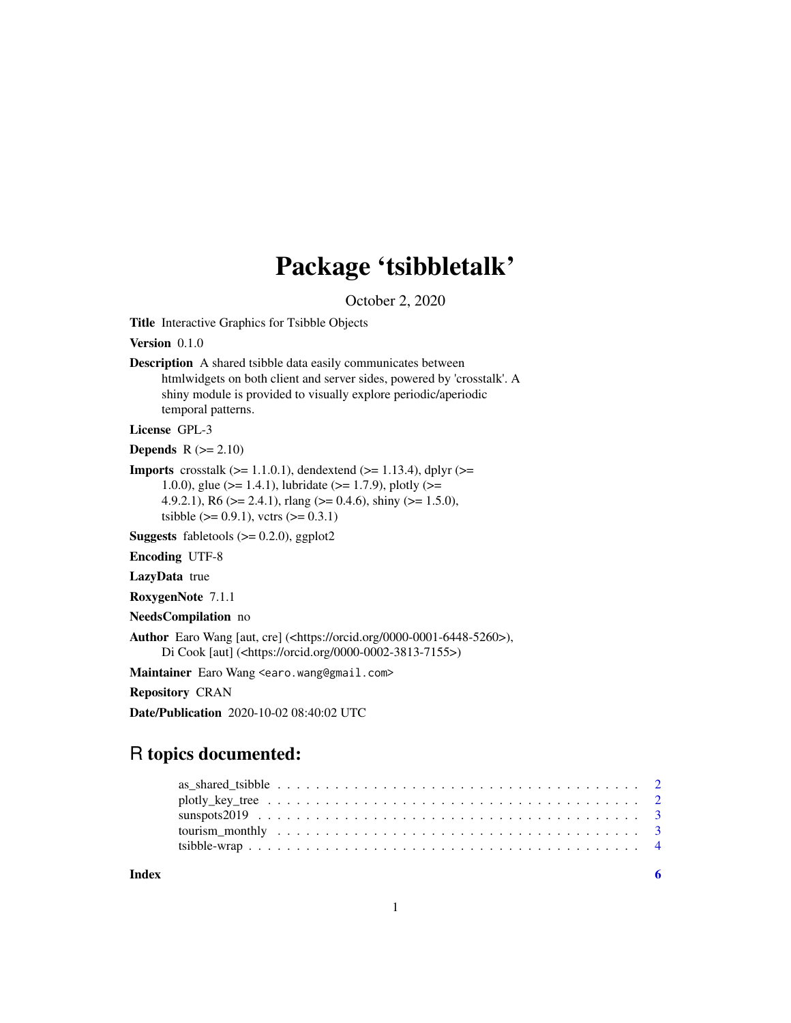## Package 'tsibbletalk'

October 2, 2020

<span id="page-0-0"></span>Title Interactive Graphics for Tsibble Objects

Version 0.1.0

Description A shared tsibble data easily communicates between htmlwidgets on both client and server sides, powered by 'crosstalk'. A shiny module is provided to visually explore periodic/aperiodic temporal patterns.

License GPL-3

**Depends**  $R (= 2.10)$ 

**Imports** crosstalk  $(>= 1.1.0.1)$ , dendextend  $(>= 1.13.4)$ , dplyr  $(>= 1.13.4)$ 1.0.0), glue ( $>= 1.4.1$ ), lubridate ( $>= 1.7.9$ ), plotly ( $>= 1.6$ 4.9.2.1), R6 ( $>= 2.4.1$ ), rlang ( $>= 0.4.6$ ), shiny ( $>= 1.5.0$ ), tsibble ( $> = 0.9.1$ ), vctrs ( $>= 0.3.1$ )

**Suggests** fabletools  $(>= 0.2.0)$ , ggplot2

Encoding UTF-8

LazyData true

RoxygenNote 7.1.1

NeedsCompilation no

Author Earo Wang [aut, cre] (<https://orcid.org/0000-0001-6448-5260>), Di Cook [aut] (<https://orcid.org/0000-0002-3813-7155>)

Maintainer Earo Wang <earo.wang@gmail.com>

Repository CRAN

Date/Publication 2020-10-02 08:40:02 UTC

### R topics documented:

| Index |  |
|-------|--|
|       |  |
|       |  |
|       |  |
|       |  |
|       |  |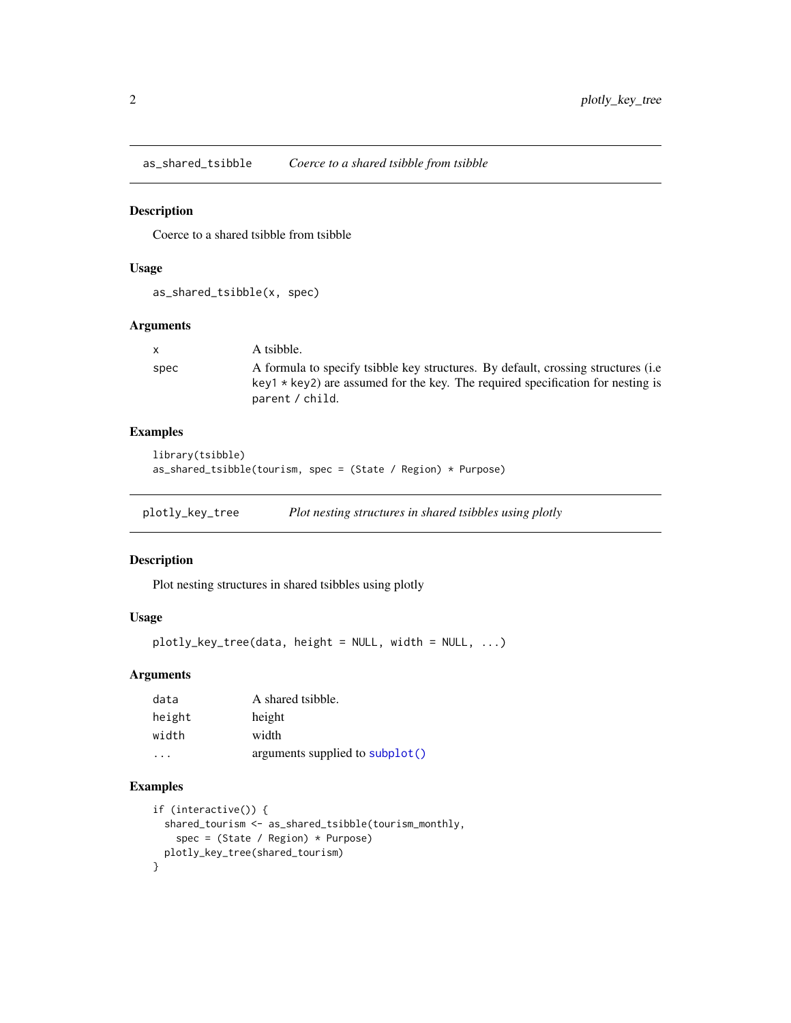<span id="page-1-0"></span>as\_shared\_tsibble *Coerce to a shared tsibble from tsibble*

#### Description

Coerce to a shared tsibble from tsibble

#### Usage

```
as_shared_tsibble(x, spec)
```
#### Arguments

| $\mathsf{X}$ | A tsibble.                                                                                                                                                             |
|--------------|------------------------------------------------------------------------------------------------------------------------------------------------------------------------|
| spec         | A formula to specify tsibble key structures. By default, crossing structures (i.e.<br>$key1 * key2$ are assumed for the key. The required specification for nesting is |
|              | parent / child.                                                                                                                                                        |

#### Examples

```
library(tsibble)
as_shared_tsibble(tourism, spec = (State / Region) * Purpose)
```
plotly\_key\_tree *Plot nesting structures in shared tsibbles using plotly*

#### Description

Plot nesting structures in shared tsibbles using plotly

#### Usage

```
plotly_key_tree(data, height = NULL, width = NULL, ...)
```
#### Arguments

| data   | A shared tsibble.               |
|--------|---------------------------------|
| height | height                          |
| width  | width                           |
| .      | arguments supplied to subplot() |

#### Examples

```
if (interactive()) {
 shared_tourism <- as_shared_tsibble(tourism_monthly,
    spec = (State / Region) * Purpose)
 plotly_key_tree(shared_tourism)
}
```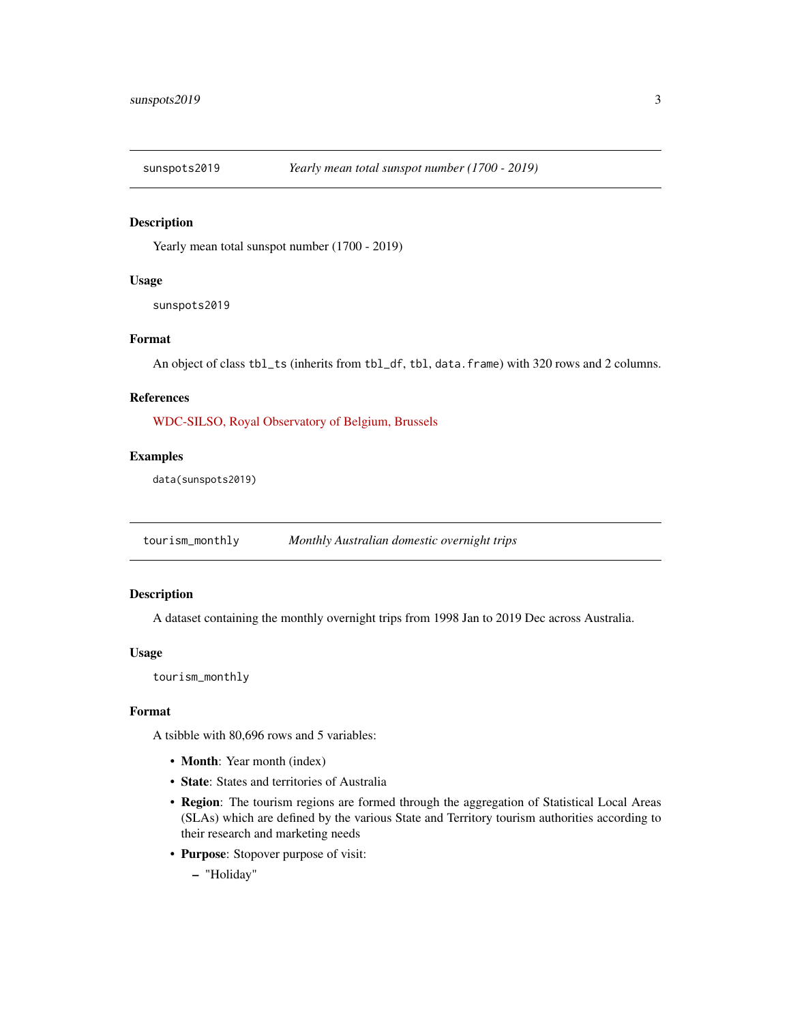<span id="page-2-0"></span>

#### Description

Yearly mean total sunspot number (1700 - 2019)

#### Usage

sunspots2019

#### Format

An object of class tbl\_ts (inherits from tbl\_df, tbl, data.frame) with 320 rows and 2 columns.

#### References

[WDC-SILSO, Royal Observatory of Belgium, Brussels](http://www.sidc.be/silso/datafiles)

#### Examples

data(sunspots2019)

tourism\_monthly *Monthly Australian domestic overnight trips*

#### Description

A dataset containing the monthly overnight trips from 1998 Jan to 2019 Dec across Australia.

#### Usage

tourism\_monthly

#### Format

A tsibble with 80,696 rows and 5 variables:

- Month: Year month (index)
- State: States and territories of Australia
- Region: The tourism regions are formed through the aggregation of Statistical Local Areas (SLAs) which are defined by the various State and Territory tourism authorities according to their research and marketing needs
- Purpose: Stopover purpose of visit:
	- "Holiday"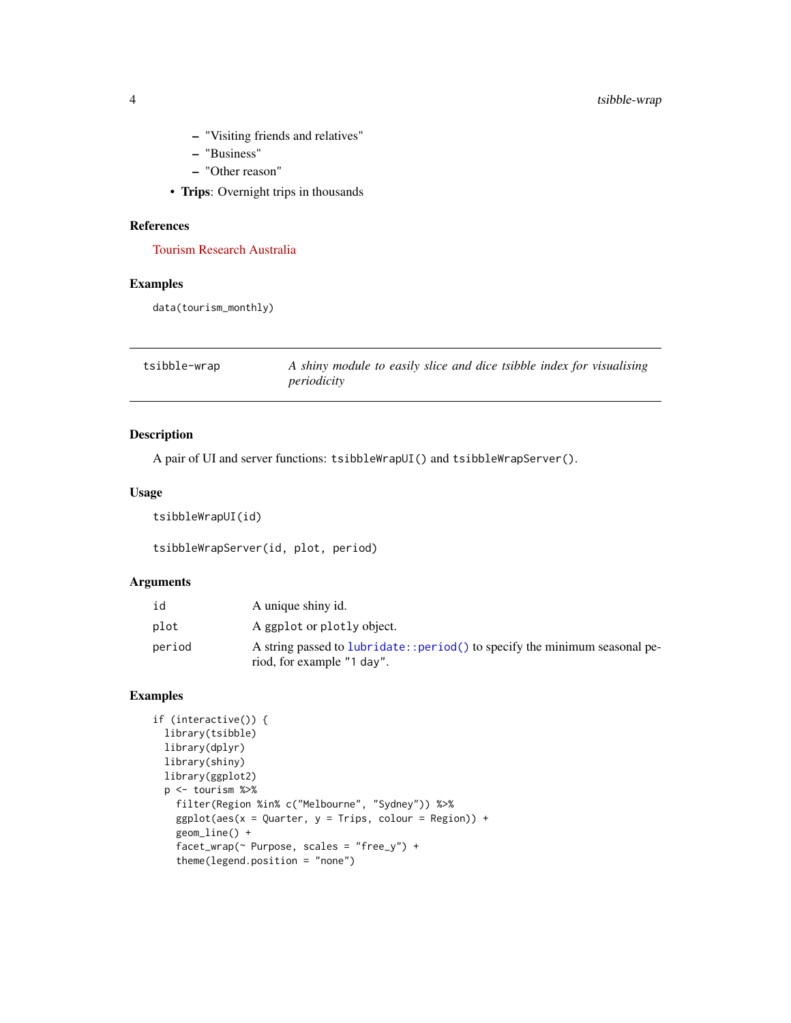- <span id="page-3-0"></span>– "Visiting friends and relatives"
- "Business"
- "Other reason"
- Trips: Overnight trips in thousands

#### References

[Tourism Research Australia](https://www.tra.gov.au)

#### Examples

data(tourism\_monthly)

| tsibble-wrap | A shiny module to easily slice and dice tsibble index for visualising |
|--------------|-----------------------------------------------------------------------|
|              | periodicity                                                           |

#### Description

A pair of UI and server functions: tsibbleWrapUI() and tsibbleWrapServer().

#### Usage

tsibbleWrapUI(id)

tsibbleWrapServer(id, plot, period)

#### Arguments

| id     | A unique shiny id.                                                                                        |
|--------|-----------------------------------------------------------------------------------------------------------|
| plot   | A ggplot or plotly object.                                                                                |
| period | A string passed to lubridate:: period() to specify the minimum seasonal pe-<br>riod, for example "1 day". |

#### Examples

```
if (interactive()) {
 library(tsibble)
 library(dplyr)
 library(shiny)
 library(ggplot2)
 p <- tourism %>%
   filter(Region %in% c("Melbourne", "Sydney")) %>%
   ggplot(aes(x = Quarter, y = Trips, colour = Region)) +geom_line() +
   facet_wrap(~ Purpose, scales = "free_y") +
   theme(legend.position = "none")
```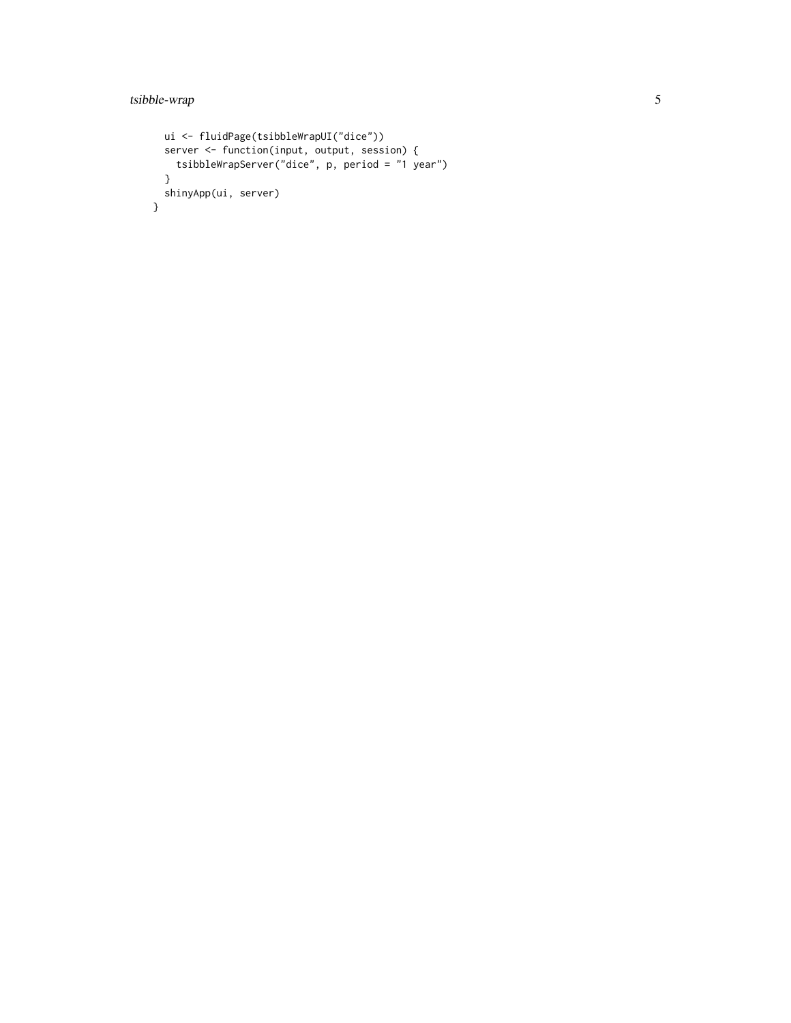```
ui <- fluidPage(tsibbleWrapUI("dice"))
 server <- function(input, output, session) {
   tsibbleWrapServer("dice", p, period = "1 year")
 }
 shinyApp(ui, server)
}
```